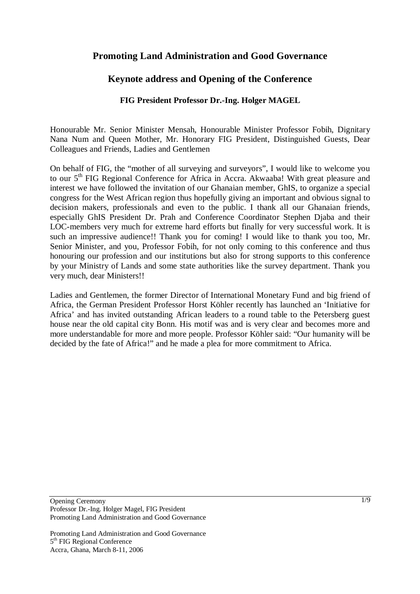## **Promoting Land Administration and Good Governance**

### **Keynote address and Opening of the Conference**

### **FIG President Professor Dr.-Ing. Holger MAGEL**

Honourable Mr. Senior Minister Mensah, Honourable Minister Professor Fobih, Dignitary Nana Num and Queen Mother, Mr. Honorary FIG President, Distinguished Guests, Dear Colleagues and Friends, Ladies and Gentlemen

On behalf of FIG, the "mother of all surveying and surveyors", I would like to welcome you to our 5<sup>th</sup> FIG Regional Conference for Africa in Accra. Akwaaba! With great pleasure and interest we have followed the invitation of our Ghanaian member, GhIS, to organize a special congress for the West African region thus hopefully giving an important and obvious signal to decision makers, professionals and even to the public. I thank all our Ghanaian friends, especially GhIS President Dr. Prah and Conference Coordinator Stephen Djaba and their LOC-members very much for extreme hard efforts but finally for very successful work. It is such an impressive audience!! Thank you for coming! I would like to thank you too, Mr. Senior Minister, and you, Professor Fobih, for not only coming to this conference and thus honouring our profession and our institutions but also for strong supports to this conference by your Ministry of Lands and some state authorities like the survey department. Thank you very much, dear Ministers!!

Ladies and Gentlemen, the former Director of International Monetary Fund and big friend of Africa, the German President Professor Horst Köhler recently has launched an 'Initiative for Africa' and has invited outstanding African leaders to a round table to the Petersberg guest house near the old capital city Bonn. His motif was and is very clear and becomes more and more understandable for more and more people. Professor Köhler said: "Our humanity will be decided by the fate of Africa!" and he made a plea for more commitment to Africa.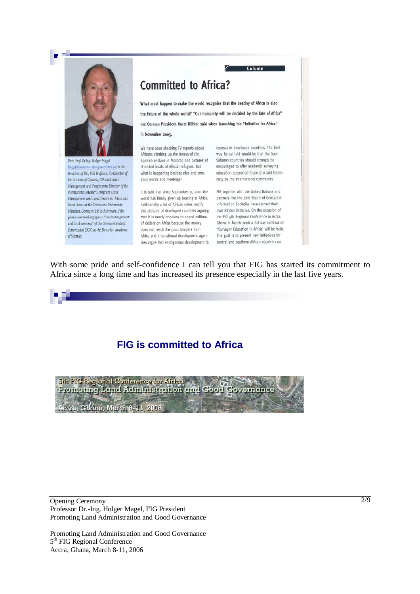

Univ. Prof. Dr-Ing. Holger Magel (magel@landentwicklung-muenchen.de) is the President of FIG, Full Professor, Co-Director of the Institute of Geodesy, GIS and Land Management and Programme Director of the International Master's Program Land Management and Land Tenure in Urban and Rural Areas at the Technische Universität München, Germany. He is chairman of the permanent working group "landmanagement and land economy" of the German Geodetic Commission (DGK) at the Bavarian Academy of Sciences.

## **Committed to Africa?**

What must happen to make the world recognize that the destiny of Africa is also the future of the whole world? "Our humanity will be decided by the fate of Africa" the German President Horst Köhler said when launching his "Initiative for Africa" in November 2005.

We have seen shocking TV reports about Africans climbing up the fences of the Spanish enclave in Morocco and pictures of Saharan countries should strongly be stranded boats of African refugees. But what is happening besides nice and symbolic words and meetings?

It is said that since September 11, 2001 the FIG together with the United Nations and world has finally given up looking at Africa. Additionally a lot of African rulers rectify this attitude of developed countries arguing own African initiative. On the occasion of that it is nearly hopeless to spend millions the FIG sth Regional Conference in Accra, of dollars on Africa because the money does not reach the poor. Insiders from Africa and international development agen-

courses in developed countries. The best way for self-aid would be that the Subencouraged to offer academic surveying education supported financially and technically by the international community.

Column

partners like the Joint Board of Geospatial Information Societies have started their Ghana in March 2006 a full-day seminar on "Surveyor Education in Africa" will be held. The goal is to present new initiatives for cies argue that endogenous development is central and southern African countries on

With some pride and self-confidence I can tell you that FIG has started its commitment to Africa since a long time and has increased its presence especially in the last five years.



## **FIG is committed to Africa**



Opening Ceremony Professor Dr.-Ing. Holger Magel, FIG President Promoting Land Administration and Good Governance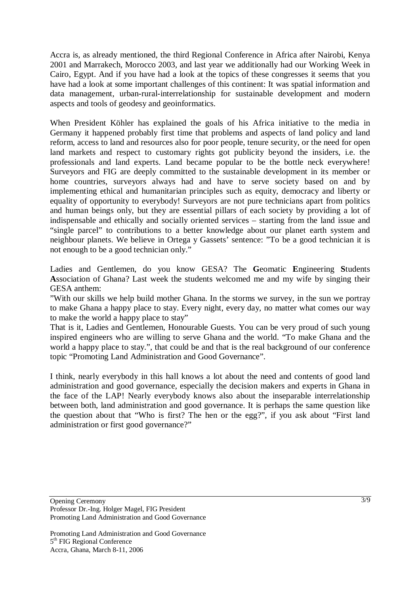Accra is, as already mentioned, the third Regional Conference in Africa after Nairobi, Kenya 2001 and Marrakech, Morocco 2003, and last year we additionally had our Working Week in Cairo, Egypt. And if you have had a look at the topics of these congresses it seems that you have had a look at some important challenges of this continent: It was spatial information and data management, urban-rural-interrelationship for sustainable development and modern aspects and tools of geodesy and geoinformatics.

When President Köhler has explained the goals of his Africa initiative to the media in Germany it happened probably first time that problems and aspects of land policy and land reform, access to land and resources also for poor people, tenure security, or the need for open land markets and respect to customary rights got publicity beyond the insiders, i.e. the professionals and land experts. Land became popular to be the bottle neck everywhere! Surveyors and FIG are deeply committed to the sustainable development in its member or home countries, surveyors always had and have to serve society based on and by implementing ethical and humanitarian principles such as equity, democracy and liberty or equality of opportunity to everybody! Surveyors are not pure technicians apart from politics and human beings only, but they are essential pillars of each society by providing a lot of indispensable and ethically and socially oriented services – starting from the land issue and "single parcel" to contributions to a better knowledge about our planet earth system and neighbour planets. We believe in Ortega y Gassets' sentence: "To be a good technician it is not enough to be a good technician only."

Ladies and Gentlemen, do you know GESA? The **G**eomatic **E**ngineering **S**tudents **A**ssociation of Ghana? Last week the students welcomed me and my wife by singing their GESA anthem:

"With our skills we help build mother Ghana. In the storms we survey, in the sun we portray to make Ghana a happy place to stay. Every night, every day, no matter what comes our way to make the world a happy place to stay"

That is it, Ladies and Gentlemen, Honourable Guests. You can be very proud of such young inspired engineers who are willing to serve Ghana and the world. "To make Ghana and the world a happy place to stay.", that could be and that is the real background of our conference topic "Promoting Land Administration and Good Governance".

I think, nearly everybody in this hall knows a lot about the need and contents of good land administration and good governance, especially the decision makers and experts in Ghana in the face of the LAP! Nearly everybody knows also about the inseparable interrelationship between both, land administration and good governance. It is perhaps the same question like the question about that "Who is first? The hen or the egg?", if you ask about "First land administration or first good governance?"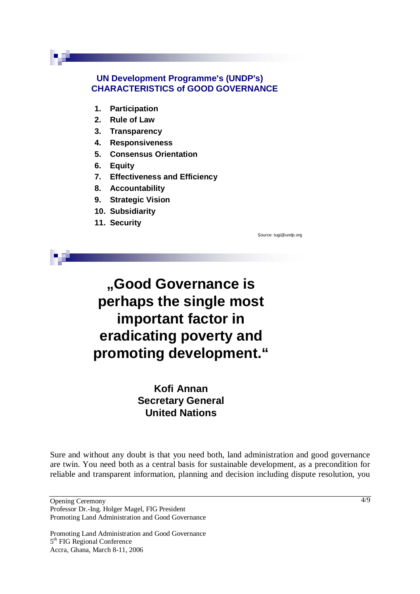### **UN Development Programme's (UNDP's) CHARACTERISTICS of GOOD GOVERNANCE**

- **1. Participation**
- **2. Rule of Law**
- **3. Transparency**
- **4. Responsiveness**
- **5. Consensus Orientation**
- **6. Equity**
- **7. Effectiveness and Efficiency**
- **8. Accountability**
- **9. Strategic Vision**
- **10. Subsidiarity**
- **11. Security**

Source: tugi@undp.org

# **"Good Governance is perhaps the single most important factor in eradicating poverty and promoting development."**

## **Kofi Annan Secretary General United Nations**

Sure and without any doubt is that you need both, land administration and good governance are twin. You need both as a central basis for sustainable development, as a precondition for reliable and transparent information, planning and decision including dispute resolution, you

Opening Ceremony Professor Dr.-Ing. Holger Magel, FIG President Promoting Land Administration and Good Governance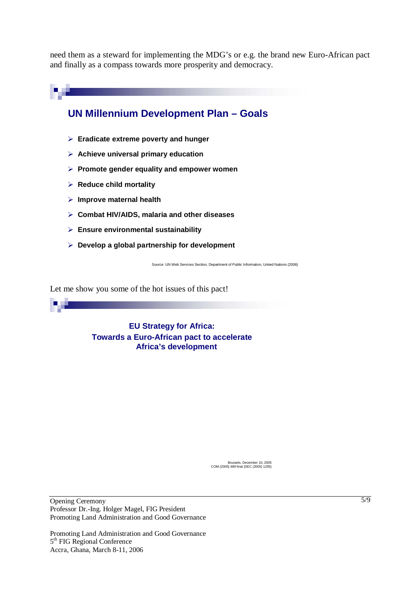need them as a steward for implementing the MDG's or e.g. the brand new Euro-African pact and finally as a compass towards more prosperity and democracy.



Let me show you some of the hot issues of this pact!

**EU Strategy for Africa: Towards a Euro-African pact to accelerate Africa's development**

Brussels, December 10, 2005 COM (2005) 489 final {SEC (2005) 1255}

Opening Ceremony Professor Dr.-Ing. Holger Magel, FIG President Promoting Land Administration and Good Governance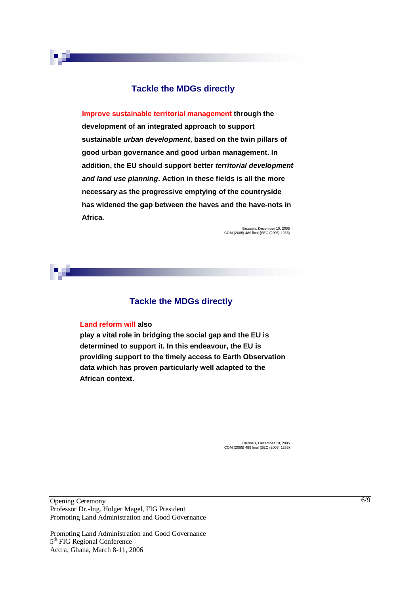### **Tackle the MDGs directly**

**Improve sustainable territorial management through the development of an integrated approach to support sustainable urban development, based on the twin pillars of good urban governance and good urban management. In addition, the EU should support better territorial development and land use planning. Action in these fields is all the more necessary as the progressive emptying of the countryside has widened the gap between the haves and the have-nots in Africa.**

> Brussels, December 10, 2005 COM (2005) 489 final {SEC (2005) 1255}

### **Tackle the MDGs directly**

#### **Land reform will also**

**play a vital role in bridging the social gap and the EU is determined to support it. In this endeavour, the EU is providing support to the timely access to Earth Observation data which has proven particularly well adapted to the African context.**

> Brussels, December 10, 2005 COM (2005) 489 final {SEC (2005) 1255}

Opening Ceremony Professor Dr.-Ing. Holger Magel, FIG President Promoting Land Administration and Good Governance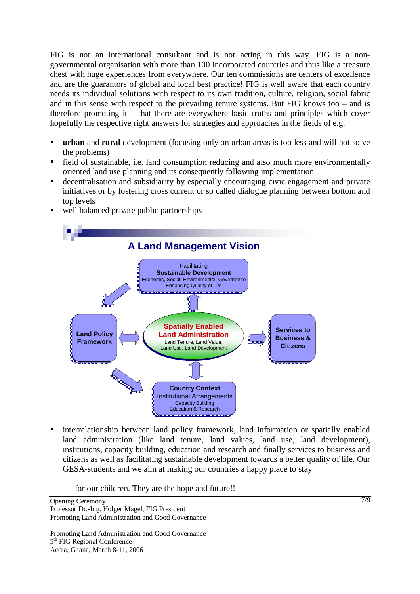FIG is not an international consultant and is not acting in this way. FIG is a nongovernmental organisation with more than 100 incorporated countries and thus like a treasure chest with huge experiences from everywhere. Our ten commissions are centers of excellence and are the guarantors of global and local best practice! FIG is well aware that each country needs its individual solutions with respect to its own tradition, culture, religion, social fabric and in this sense with respect to the prevailing tenure systems. But FIG knows too – and is therefore promoting it – that there are everywhere basic truths and principles which cover hopefully the respective right answers for strategies and approaches in the fields of e.g.

- **urban** and **rural** development (focusing only on urban areas is too less and will not solve the problems)
- field of sustainable, i.e. land consumption reducing and also much more environmentally oriented land use planning and its consequently following implementation<br>decentralisation and subsidiarity by especially encouraging c oriented land use planning and its consequently following implementation
- decentralisation and subsidiarity by especially encouraging civic engagement and private initiatives or by fostering cross current or so called dialogue planning between bottom and top levels
- well balanced private public partnerships



- interrelationship between land policy framework, land information or spatially enabled land administration (like land tenure, land values, land use, land development), institutions, capacity building, education and research and finally services to business and citizens as well as facilitating sustainable development towards a better quality of life. Our GESA-students and we aim at making our countries a happy place to stay
	- for our children. They are the hope and future!!

Opening Ceremony Professor Dr.-Ing. Holger Magel, FIG President Promoting Land Administration and Good Governance

Promoting Land Administration and Good Governance 5<sup>th</sup> FIG Regional Conference Accra, Ghana, March 8-11, 2006

7/9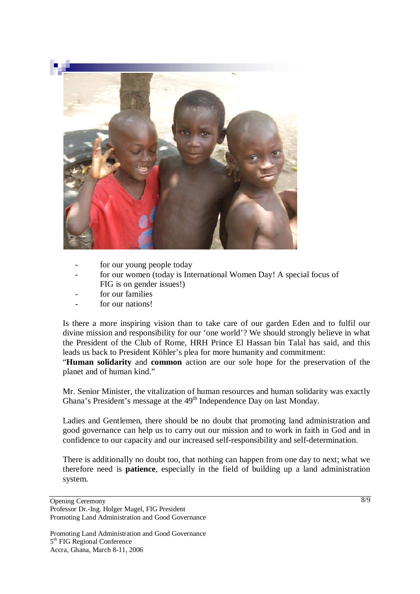

- for our young people today
- for our women (today is International Women Day! A special focus of FIG is on gender issues!)
- for our families
- for our nations!

Is there a more inspiring vision than to take care of our garden Eden and to fulfil our divine mission and responsibility for our 'one world'? We should strongly believe in what the President of the Club of Rome, HRH Prince El Hassan bin Talal has said, and this leads us back to President Köhler's plea for more humanity and commitment:

"**Human solidarity** and **common** action are our sole hope for the preservation of the planet and of human kind."

Mr. Senior Minister, the vitalization of human resources and human solidarity was exactly Ghana's President's message at the 49<sup>th</sup> Independence Day on last Monday.

Ladies and Gentlemen, there should be no doubt that promoting land administration and good governance can help us to carry out our mission and to work in faith in God and in confidence to our capacity and our increased self-responsibility and self-determination.

There is additionally no doubt too, that nothing can happen from one day to next; what we therefore need is **patience**, especially in the field of building up a land administration system.